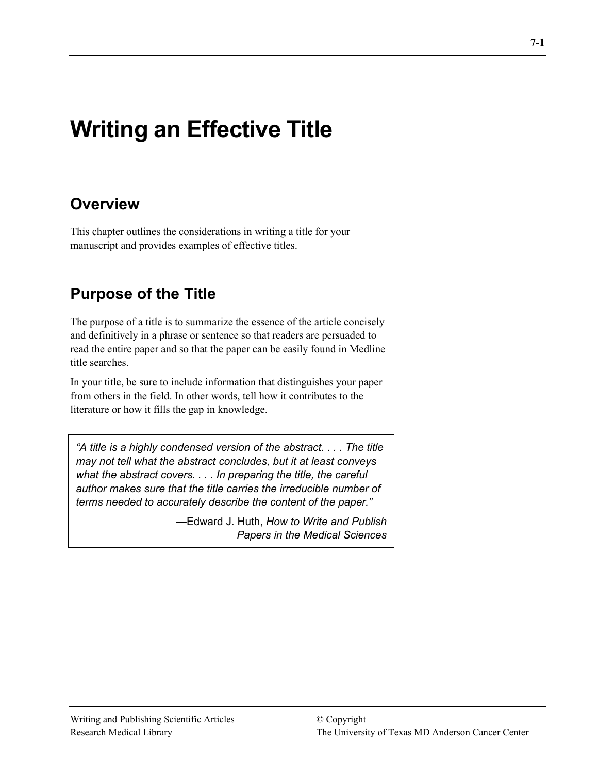# **Writing an Effective Title**

# **Overview**

This chapter outlines the considerations in writing a title for your manuscript and provides examples of effective titles.

# **Purpose of the Title**

The purpose of a title is to summarize the essence of the article concisely and definitively in a phrase or sentence so that readers are persuaded to read the entire paper and so that the paper can be easily found in Medline title searches.

In your title, be sure to include information that distinguishes your paper from others in the field. In other words, tell how it contributes to the literature or how it fills the gap in knowledge.

*"A title is a highly condensed version of the abstract. . . . The title may not tell what the abstract concludes, but it at least conveys what the abstract covers. . . . In preparing the title, the careful author makes sure that the title carries the irreducible number of terms needed to accurately describe the content of the paper."*

> *—*Edward J. Huth, *How to Write and Publish Papers in the Medical Sciences*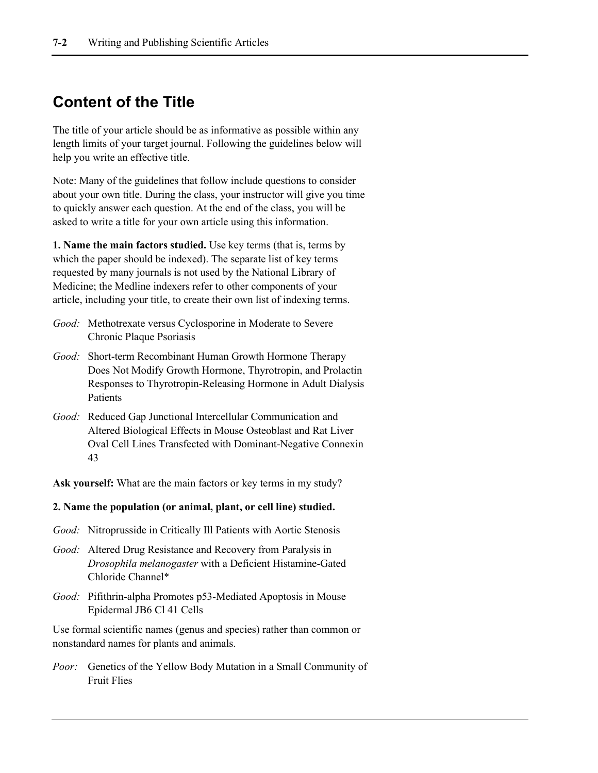# **Content of the Title**

The title of your article should be as informative as possible within any length limits of your target journal. Following the guidelines below will help you write an effective title.

Note: Many of the guidelines that follow include questions to consider about your own title. During the class, your instructor will give you time to quickly answer each question. At the end of the class, you will be asked to write a title for your own article using this information.

**1. Name the main factors studied.** Use key terms (that is, terms by which the paper should be indexed). The separate list of key terms requested by many journals is not used by the National Library of Medicine; the Medline indexers refer to other components of your article, including your title, to create their own list of indexing terms.

- *Good:* Methotrexate versus Cyclosporine in Moderate to Severe Chronic Plaque Psoriasis
- *Good:* Short-term Recombinant Human Growth Hormone Therapy Does Not Modify Growth Hormone, Thyrotropin, and Prolactin Responses to Thyrotropin-Releasing Hormone in Adult Dialysis Patients
- *Good:* Reduced Gap Junctional Intercellular Communication and Altered Biological Effects in Mouse Osteoblast and Rat Liver Oval Cell Lines Transfected with Dominant-Negative Connexin 43

**Ask yourself:** What are the main factors or key terms in my study?

#### **2. Name the population (or animal, plant, or cell line) studied.**

- *Good:* Nitroprusside in Critically Ill Patients with Aortic Stenosis
- *Good:* Altered Drug Resistance and Recovery from Paralysis in *Drosophila melanogaster* with a Deficient Histamine-Gated Chloride Channel\*
- *Good:* Pifithrin-alpha Promotes p53-Mediated Apoptosis in Mouse Epidermal JB6 Cl 41 Cells

Use formal scientific names (genus and species) rather than common or nonstandard names for plants and animals.

*Poor:* Genetics of the Yellow Body Mutation in a Small Community of Fruit Flies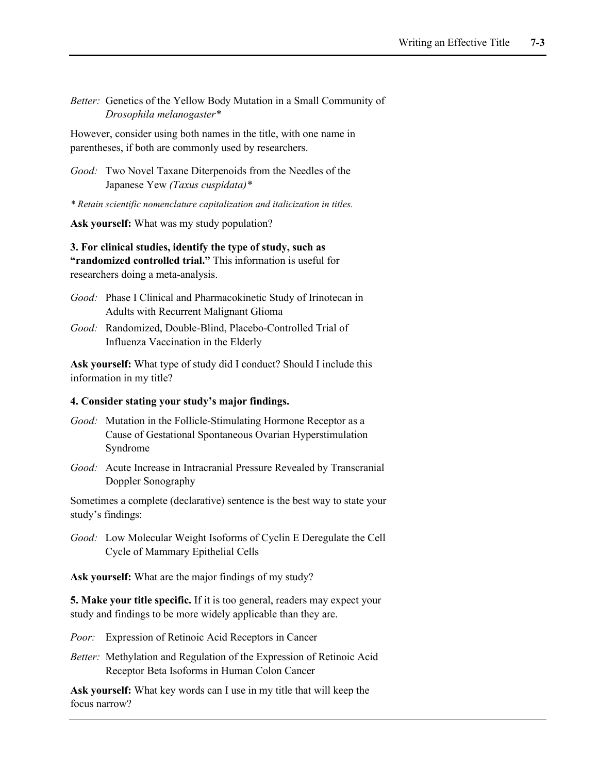*Better:* Genetics of the Yellow Body Mutation in a Small Community of *Drosophila melanogaster\**

However, consider using both names in the title, with one name in parentheses, if both are commonly used by researchers.

*Good:* Two Novel Taxane Diterpenoids from the Needles of the Japanese Yew *(Taxus cuspidata)\**

*\* Retain scientific nomenclature capitalization and italicization in titles.*

**Ask yourself:** What was my study population?

**3. For clinical studies, identify the type of study, such as "randomized controlled trial."** This information is useful for researchers doing a meta-analysis.

*Good:* Phase I Clinical and Pharmacokinetic Study of Irinotecan in Adults with Recurrent Malignant Glioma

*Good:* Randomized, Double-Blind, Placebo-Controlled Trial of Influenza Vaccination in the Elderly

**Ask yourself:** What type of study did I conduct? Should I include this information in my title?

#### **4. Consider stating your study's major findings.**

- *Good:* Mutation in the Follicle-Stimulating Hormone Receptor as a Cause of Gestational Spontaneous Ovarian Hyperstimulation Syndrome
- *Good:* Acute Increase in Intracranial Pressure Revealed by Transcranial Doppler Sonography

Sometimes a complete (declarative) sentence is the best way to state your study's findings:

*Good:* Low Molecular Weight Isoforms of Cyclin E Deregulate the Cell Cycle of Mammary Epithelial Cells

**Ask yourself:** What are the major findings of my study?

**5. Make your title specific.** If it is too general, readers may expect your study and findings to be more widely applicable than they are.

*Poor:* Expression of Retinoic Acid Receptors in Cancer

*Better:* Methylation and Regulation of the Expression of Retinoic Acid Receptor Beta Isoforms in Human Colon Cancer

**Ask yourself:** What key words can I use in my title that will keep the focus narrow?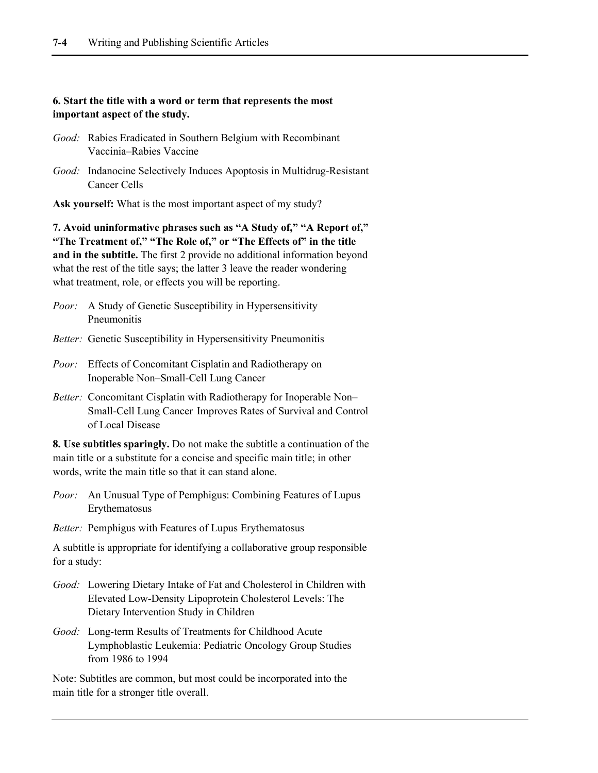#### **6. Start the title with a word or term that represents the most important aspect of the study.**

- *Good:* Rabies Eradicated in Southern Belgium with Recombinant Vaccinia–Rabies Vaccine
- *Good:* Indanocine Selectively Induces Apoptosis in Multidrug-Resistant Cancer Cells

**Ask yourself:** What is the most important aspect of my study?

**7. Avoid uninformative phrases such as "A Study of," "A Report of," "The Treatment of," "The Role of," or "The Effects of" in the title and in the subtitle.** The first 2 provide no additional information beyond what the rest of the title says; the latter 3 leave the reader wondering what treatment, role, or effects you will be reporting.

- *Poor:* A Study of Genetic Susceptibility in Hypersensitivity Pneumonitis
- *Better:* Genetic Susceptibility in Hypersensitivity Pneumonitis
- *Poor:* Effects of Concomitant Cisplatin and Radiotherapy on Inoperable Non–Small-Cell Lung Cancer
- *Better:* Concomitant Cisplatin with Radiotherapy for Inoperable Non– Small-Cell Lung Cancer Improves Rates of Survival and Control of Local Disease

**8. Use subtitles sparingly.** Do not make the subtitle a continuation of the main title or a substitute for a concise and specific main title; in other words, write the main title so that it can stand alone.

- *Poor:* An Unusual Type of Pemphigus: Combining Features of Lupus Erythematosus
- *Better:* Pemphigus with Features of Lupus Erythematosus

A subtitle is appropriate for identifying a collaborative group responsible for a study:

- *Good:* Lowering Dietary Intake of Fat and Cholesterol in Children with Elevated Low-Density Lipoprotein Cholesterol Levels: The Dietary Intervention Study in Children
- *Good:* Long-term Results of Treatments for Childhood Acute Lymphoblastic Leukemia: Pediatric Oncology Group Studies from 1986 to 1994

Note: Subtitles are common, but most could be incorporated into the main title for a stronger title overall.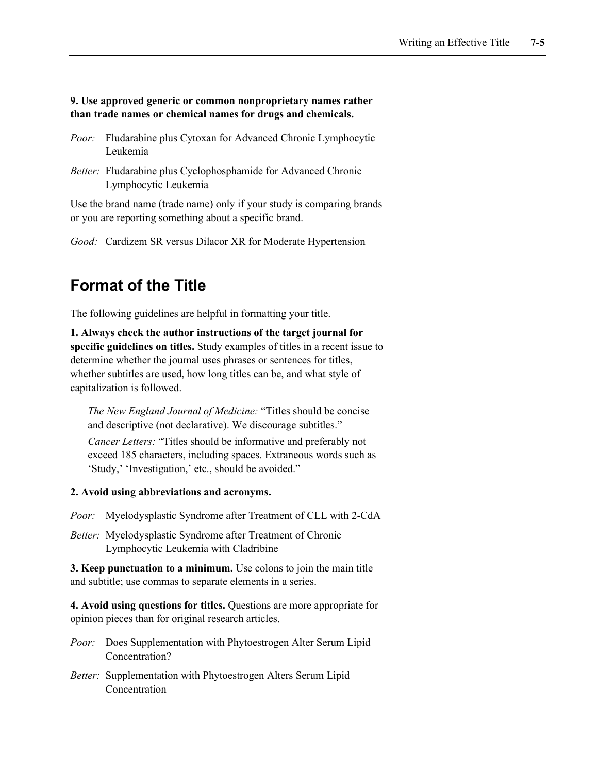#### **9. Use approved generic or common nonproprietary names rather than trade names or chemical names for drugs and chemicals.**

- *Poor:* Fludarabine plus Cytoxan for Advanced Chronic Lymphocytic Leukemia
- *Better:* Fludarabine plus Cyclophosphamide for Advanced Chronic Lymphocytic Leukemia

Use the brand name (trade name) only if your study is comparing brands or you are reporting something about a specific brand.

*Good:* Cardizem SR versus Dilacor XR for Moderate Hypertension

# **Format of the Title**

The following guidelines are helpful in formatting your title.

**1. Always check the author instructions of the target journal for specific guidelines on titles.** Study examples of titles in a recent issue to determine whether the journal uses phrases or sentences for titles, whether subtitles are used, how long titles can be, and what style of capitalization is followed.

*The New England Journal of Medicine:* "Titles should be concise and descriptive (not declarative). We discourage subtitles."

*Cancer Letters:* "Titles should be informative and preferably not exceed 185 characters, including spaces. Extraneous words such as 'Study,' 'Investigation,' etc., should be avoided."

#### **2. Avoid using abbreviations and acronyms.**

- *Poor:* Myelodysplastic Syndrome after Treatment of CLL with 2-CdA
- *Better:* Myelodysplastic Syndrome after Treatment of Chronic Lymphocytic Leukemia with Cladribine

**3. Keep punctuation to a minimum.** Use colons to join the main title and subtitle; use commas to separate elements in a series.

**4. Avoid using questions for titles.** Questions are more appropriate for opinion pieces than for original research articles.

- *Poor:* Does Supplementation with Phytoestrogen Alter Serum Lipid Concentration?
- *Better:* Supplementation with Phytoestrogen Alters Serum Lipid Concentration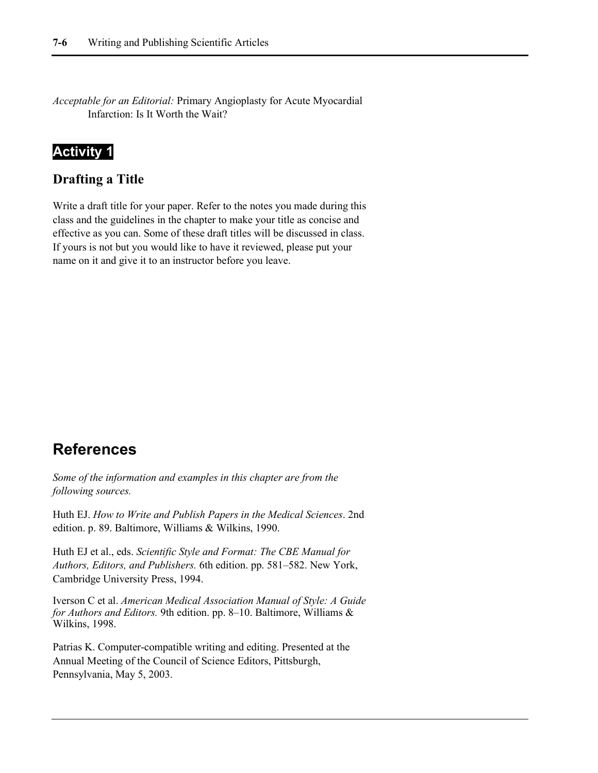*Acceptable for an Editorial:* Primary Angioplasty for Acute Myocardial Infarction: Is It Worth the Wait?

### **Activity 1**

### **Drafting a Title**

Write a draft title for your paper. Refer to the notes you made during this class and the guidelines in the chapter to make your title as concise and effective as you can. Some of these draft titles will be discussed in class. If yours is not but you would like to have it reviewed, please put your name on it and give it to an instructor before you leave.

## **References**

*Some of the information and examples in this chapter are from the following sources.*

Huth EJ. *How to Write and Publish Papers in the Medical Sciences*. 2nd edition. p. 89. Baltimore, Williams & Wilkins, 1990.

Huth EJ et al., eds. *Scientific Style and Format: The CBE Manual for Authors, Editors, and Publishers.* 6th edition. pp. 581–582. New York, Cambridge University Press, 1994.

Iverson C et al. *American Medical Association Manual of Style: A Guide for Authors and Editors.* 9th edition. pp. 8–10. Baltimore, Williams & Wilkins, 1998.

Patrias K. Computer-compatible writing and editing. Presented at the Annual Meeting of the Council of Science Editors, Pittsburgh, Pennsylvania, May 5, 2003.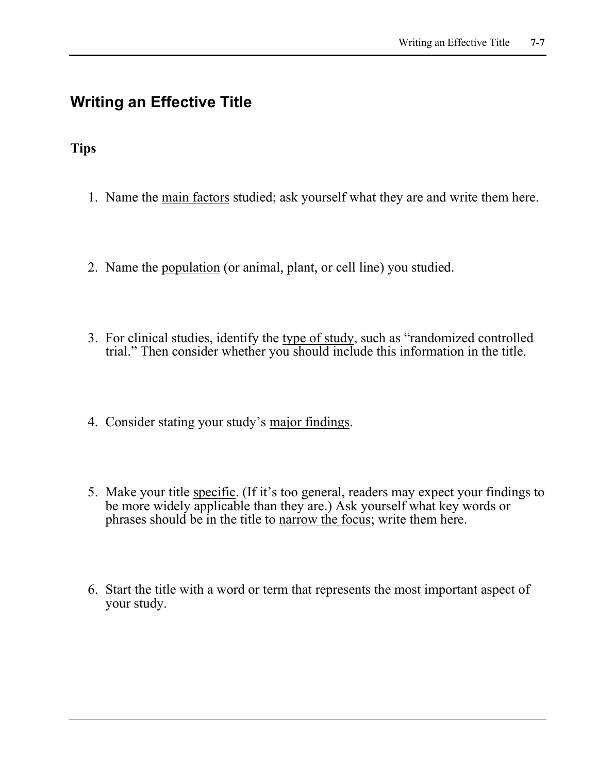# **Writing an Effective Title**

### **Tips**

- 1. Name the main factors studied; ask yourself what they are and write them here.
- 2. Name the population (or animal, plant, or cell line) you studied.
- 3. For clinical studies, identify the type of study, such as "randomized controlled trial." Then consider whether you should include this information in the title.
- 4. Consider stating your study's major findings.
- 5. Make your title specific. (If it's too general, readers may expect your findings to be more widely applicable than they are.) Ask yourself what key words or phrases should be in the title to narrow the focus; write them here.
- 6. Start the title with a word or term that represents the most important aspect of your study.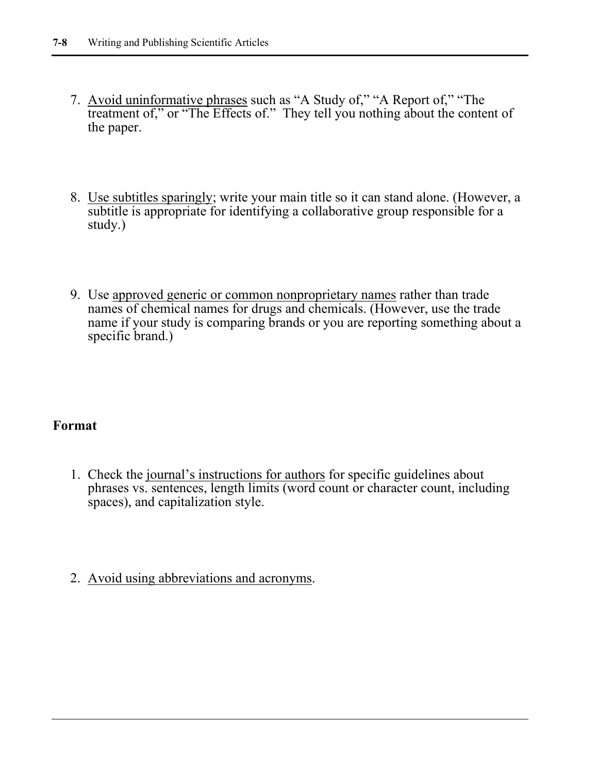- 7. Avoid uninformative phrases such as "A Study of," "A Report of," "The treatment of," or "The Effects of." They tell you nothing about the content of the paper.
- 8. Use subtitles sparingly; write your main title so it can stand alone. (However, a subtitle is appropriate for identifying a collaborative group responsible for a study.)
- 9. Use approved generic or common nonproprietary names rather than trade names of chemical names for drugs and chemicals. (However, use the trade name if your study is comparing brands or you are reporting something about a specific brand.)

### **Format**

- 1. Check the journal's instructions for authors for specific guidelines about phrases vs. sentences, length limits (word count or character count, including spaces), and capitalization style.
- 2. Avoid using abbreviations and acronyms.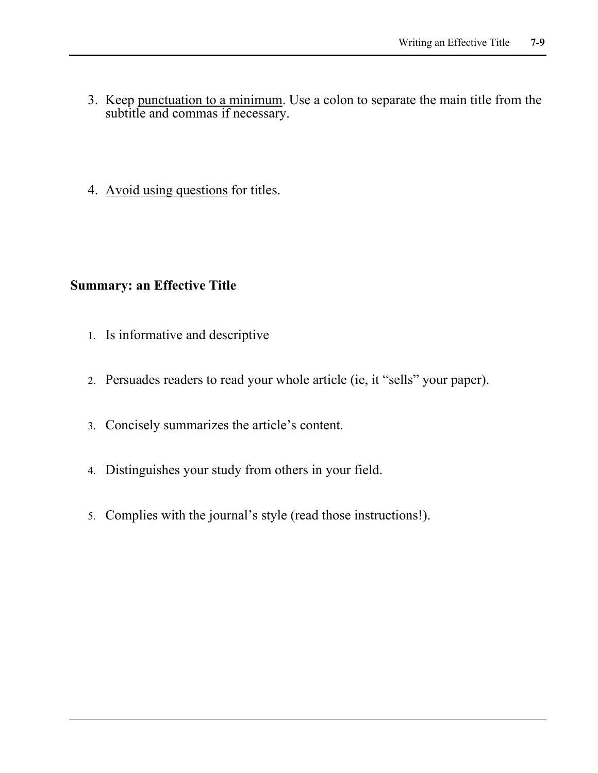- 3. Keep punctuation to a minimum. Use a colon to separate the main title from the subtitle and commas if necessary.
- 4. Avoid using questions for titles.

### **Summary: an Effective Title**

- 1. Is informative and descriptive
- 2. Persuades readers to read your whole article (ie, it "sells" your paper).
- 3. Concisely summarizes the article's content.
- 4. Distinguishes your study from others in your field.
- 5. Complies with the journal's style (read those instructions!).